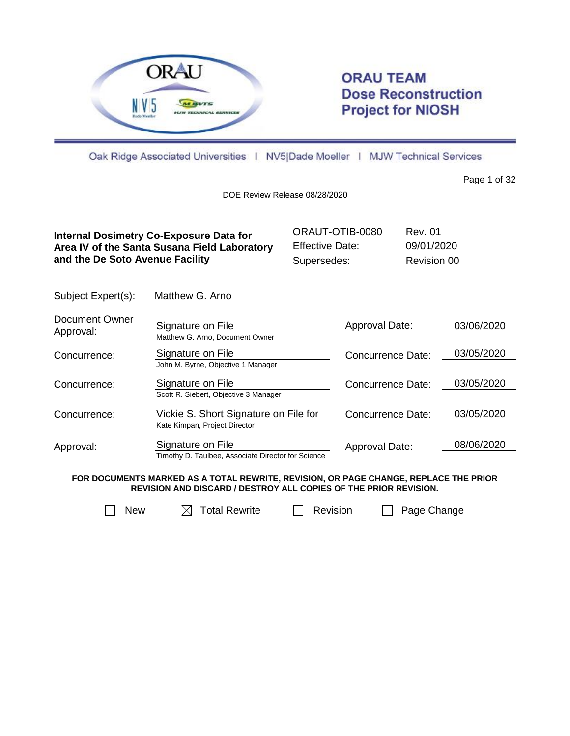

Subject Expert(s): Matthew G. Arno

# **ORAU TEAM Dose Reconstruction Project for NIOSH**

Oak Ridge Associated Universities | NV5|Dade Moeller | MJW Technical Services

Page 1 of 32

DOE Review Release 08/28/2020

| Internal Dosimetry Co-Exposure Data for      | ORAUT-OTIB-0080        | Rev. 01     |
|----------------------------------------------|------------------------|-------------|
| Area IV of the Santa Susana Field Laboratory | <b>Effective Date:</b> | 09/01/2020  |
| and the De Soto Avenue Facility              | Supersedes:            | Revision 00 |

| Document Owner<br>Approval: | Signature on File<br>Matthew G. Arno, Document Owner                   | Approval Date:           | 03/06/2020 |
|-----------------------------|------------------------------------------------------------------------|--------------------------|------------|
| Concurrence:                | Signature on File<br>John M. Byrne, Objective 1 Manager                | Concurrence Date:        | 03/05/2020 |
| Concurrence:                | Signature on File<br>Scott R. Siebert, Objective 3 Manager             | Concurrence Date:        | 03/05/2020 |
| Concurrence:                | Vickie S. Short Signature on File for<br>Kate Kimpan, Project Director | <b>Concurrence Date:</b> | 03/05/2020 |
| Approval:                   | Signature on File<br>— <u>"R— "A</u> III.                              | Approval Date:           | 08/06/2020 |

Timothy D. Taulbee, Associate Director for Science

**FOR DOCUMENTS MARKED AS A TOTAL REWRITE, REVISION, OR PAGE CHANGE, REPLACE THE PRIOR REVISION AND DISCARD / DESTROY ALL COPIES OF THE PRIOR REVISION.**

 $\Box$  New  $\Box$  Total Rewrite  $\Box$  Revision  $\Box$  Page Change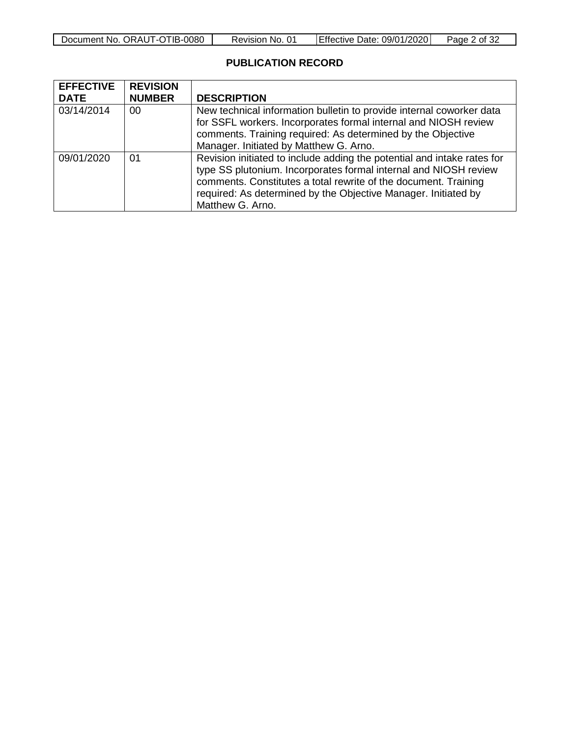| Document No.<br>ORAUT-OTIB-C<br>$-0080$ | 01<br>No.<br>Revision | 09/01/2020<br>TEffective Date: | Page<br>ot 3≿ |
|-----------------------------------------|-----------------------|--------------------------------|---------------|

# **PUBLICATION RECORD**

| <b>EFFECTIVE</b> | <b>REVISION</b> |                                                                                                                                                                                                                                                                                                      |
|------------------|-----------------|------------------------------------------------------------------------------------------------------------------------------------------------------------------------------------------------------------------------------------------------------------------------------------------------------|
| <b>DATE</b>      | <b>NUMBER</b>   | <b>DESCRIPTION</b>                                                                                                                                                                                                                                                                                   |
| 03/14/2014       | 00              | New technical information bulletin to provide internal coworker data<br>for SSFL workers. Incorporates formal internal and NIOSH review<br>comments. Training required: As determined by the Objective<br>Manager. Initiated by Matthew G. Arno.                                                     |
| 09/01/2020       | 01              | Revision initiated to include adding the potential and intake rates for<br>type SS plutonium. Incorporates formal internal and NIOSH review<br>comments. Constitutes a total rewrite of the document. Training<br>required: As determined by the Objective Manager. Initiated by<br>Matthew G. Arno. |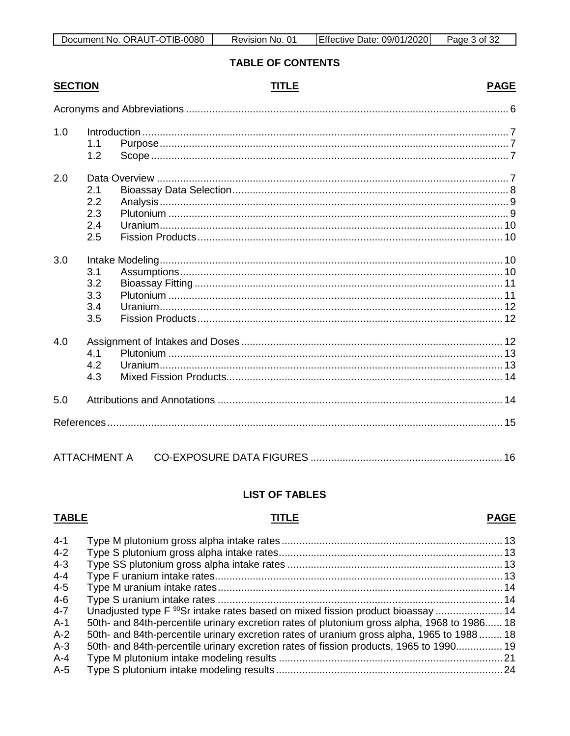# **TABLE OF CONTENTS**

# **SECTION**

# **TITLE**

# **PAGE**

| 1.0 | 1.1<br>1.2                      |              |  |
|-----|---------------------------------|--------------|--|
| 2.0 | 2.1<br>2.2<br>2.3<br>2.4<br>2.5 |              |  |
| 3.0 | 3.1<br>3.2<br>3.3<br>3.4<br>3.5 |              |  |
| 4.0 | 4.1<br>4.2<br>4.3               |              |  |
| 5.0 |                                 |              |  |
|     |                                 |              |  |
|     |                                 | ATTACHMENT A |  |

# **LIST OF TABLES**

# **TABLE**

# **TITLE**

# **PAGE**

| $4 - 1$ |                                                                                             |  |
|---------|---------------------------------------------------------------------------------------------|--|
| $4 - 2$ |                                                                                             |  |
| $4 - 3$ |                                                                                             |  |
| $4 - 4$ |                                                                                             |  |
| $4 - 5$ |                                                                                             |  |
| $4-6$   |                                                                                             |  |
| $4 - 7$ |                                                                                             |  |
| $A-1$   | 50th- and 84th-percentile urinary excretion rates of plutonium gross alpha, 1968 to 1986 18 |  |
| $A-2$   | 50th- and 84th-percentile urinary excretion rates of uranium gross alpha, 1965 to 1988  18  |  |
| $A-3$   | 50th- and 84th-percentile urinary excretion rates of fission products, 1965 to 1990 19      |  |
| $A - 4$ |                                                                                             |  |
| $A-5$   |                                                                                             |  |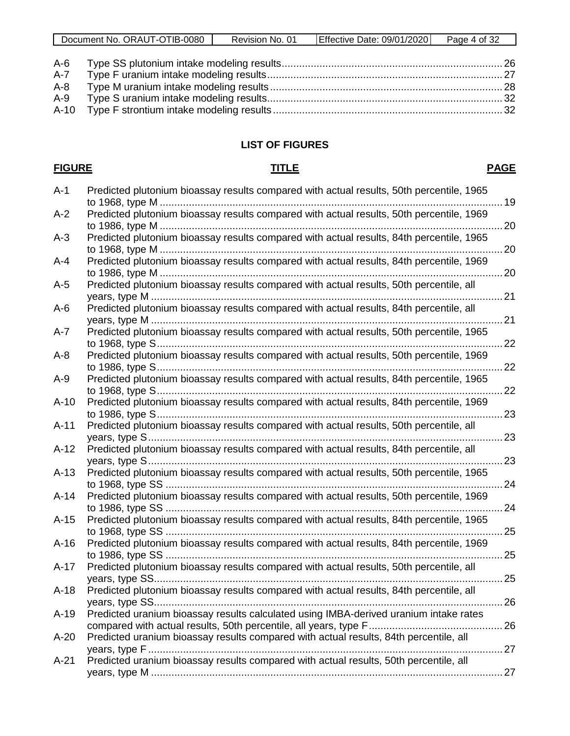| ORAUT-OTIB-0080<br>Document No. | 01<br>Revision No. | <b>Effective Date: 09/01/2020</b> | Page<br>of $32$<br>$\Delta$ |
|---------------------------------|--------------------|-----------------------------------|-----------------------------|

| A-8 |  |
|-----|--|
|     |  |
|     |  |

# **LIST OF FIGURES**

#### **FIGURE TITLE PAGE**

| $A-1$  | Predicted plutonium bioassay results compared with actual results, 50th percentile, 1965                        | 19         |
|--------|-----------------------------------------------------------------------------------------------------------------|------------|
| $A-2$  | Predicted plutonium bioassay results compared with actual results, 50th percentile, 1969                        | 20         |
| $A-3$  | Predicted plutonium bioassay results compared with actual results, 84th percentile, 1965                        |            |
| $A-4$  | Predicted plutonium bioassay results compared with actual results, 84th percentile, 1969                        |            |
| $A-5$  | Predicted plutonium bioassay results compared with actual results, 50th percentile, all                         |            |
| $A-6$  | Predicted plutonium bioassay results compared with actual results, 84th percentile, all                         |            |
| A-7    | Predicted plutonium bioassay results compared with actual results, 50th percentile, 1965                        |            |
| $A-8$  | Predicted plutonium bioassay results compared with actual results, 50th percentile, 1969                        | $\dots 22$ |
| $A-9$  | Predicted plutonium bioassay results compared with actual results, 84th percentile, 1965                        |            |
| $A-10$ | Predicted plutonium bioassay results compared with actual results, 84th percentile, 1969                        |            |
| $A-11$ | Predicted plutonium bioassay results compared with actual results, 50th percentile, all                         |            |
| $A-12$ | Predicted plutonium bioassay results compared with actual results, 84th percentile, all                         |            |
| $A-13$ | Predicted plutonium bioassay results compared with actual results, 50th percentile, 1965                        |            |
| $A-14$ | Predicted plutonium bioassay results compared with actual results, 50th percentile, 1969                        |            |
| $A-15$ | Predicted plutonium bioassay results compared with actual results, 84th percentile, 1965                        |            |
| $A-16$ | Predicted plutonium bioassay results compared with actual results, 84th percentile, 1969                        |            |
| $A-17$ | Predicted plutonium bioassay results compared with actual results, 50th percentile, all<br>25<br>years, type SS |            |
| $A-18$ | Predicted plutonium bioassay results compared with actual results, 84th percentile, all                         |            |
| $A-19$ | Predicted uranium bioassay results calculated using IMBA-derived uranium intake rates                           |            |
| $A-20$ | Predicted uranium bioassay results compared with actual results, 84th percentile, all                           |            |
| $A-21$ | Predicted uranium bioassay results compared with actual results, 50th percentile, all                           |            |
|        |                                                                                                                 |            |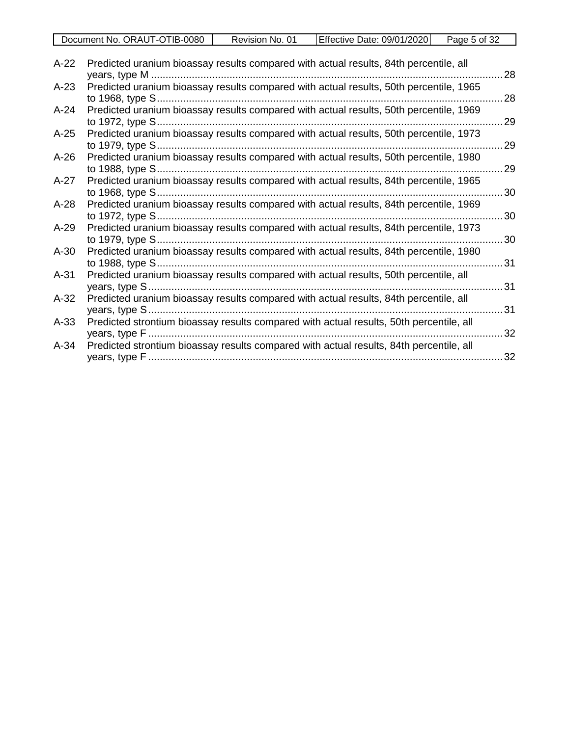| OTIB·<br>$-0080$<br>Document No.<br>ORAU'<br>ा - । | -01<br>No.<br>Revision | 09/01/20201<br>⊃ate:<br>TEffective ! | Page<br>ਂ of 3∠ |
|----------------------------------------------------|------------------------|--------------------------------------|-----------------|
|                                                    |                        |                                      |                 |

| $A-22$ | Predicted uranium bioassay results compared with actual results, 84th percentile, all   | 28 |
|--------|-----------------------------------------------------------------------------------------|----|
| $A-23$ | Predicted uranium bioassay results compared with actual results, 50th percentile, 1965  |    |
|        |                                                                                         | 28 |
| $A-24$ | Predicted uranium bioassay results compared with actual results, 50th percentile, 1969  |    |
|        | to 1972, type S                                                                         | 29 |
| $A-25$ | Predicted uranium bioassay results compared with actual results, 50th percentile, 1973  |    |
|        |                                                                                         | 29 |
| $A-26$ | Predicted uranium bioassay results compared with actual results, 50th percentile, 1980  |    |
|        |                                                                                         | 29 |
| $A-27$ | Predicted uranium bioassay results compared with actual results, 84th percentile, 1965  |    |
|        | to 1968, type S                                                                         | 30 |
| $A-28$ | Predicted uranium bioassay results compared with actual results, 84th percentile, 1969  |    |
|        | to 1972, type S                                                                         | 30 |
| $A-29$ | Predicted uranium bioassay results compared with actual results, 84th percentile, 1973  |    |
|        | to 1979, type S                                                                         | 30 |
| $A-30$ | Predicted uranium bioassay results compared with actual results, 84th percentile, 1980  |    |
|        | to 1988, type S                                                                         | 31 |
| $A-31$ | Predicted uranium bioassay results compared with actual results, 50th percentile, all   |    |
|        |                                                                                         | 31 |
| $A-32$ | Predicted uranium bioassay results compared with actual results, 84th percentile, all   |    |
|        |                                                                                         | 31 |
| $A-33$ | Predicted strontium bioassay results compared with actual results, 50th percentile, all | 32 |
| $A-34$ | Predicted strontium bioassay results compared with actual results, 84th percentile, all |    |
|        |                                                                                         | 32 |
|        |                                                                                         |    |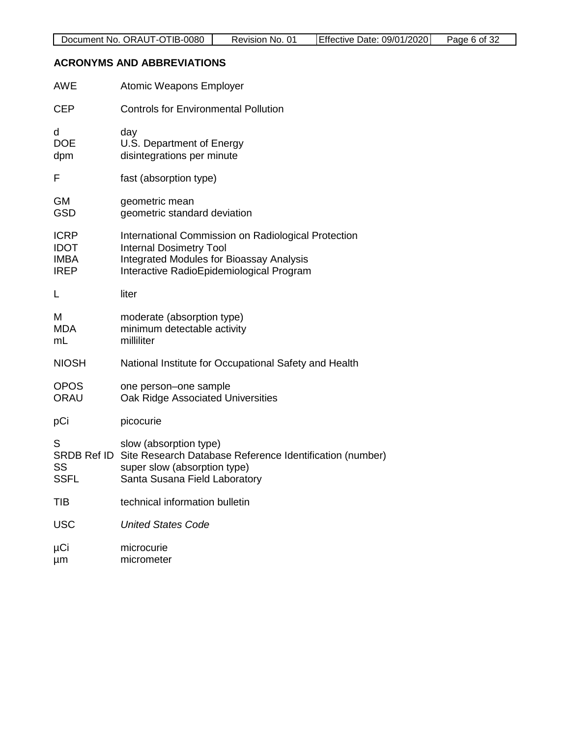# <span id="page-5-0"></span>**ACRONYMS AND ABBREVIATIONS**

| <b>AWE</b>                                               | Atomic Weapons Employer                                                                                                                                                              |
|----------------------------------------------------------|--------------------------------------------------------------------------------------------------------------------------------------------------------------------------------------|
| <b>CEP</b>                                               | <b>Controls for Environmental Pollution</b>                                                                                                                                          |
| d<br><b>DOE</b><br>dpm                                   | day<br>U.S. Department of Energy<br>disintegrations per minute                                                                                                                       |
| F                                                        | fast (absorption type)                                                                                                                                                               |
| <b>GM</b><br><b>GSD</b>                                  | geometric mean<br>geometric standard deviation                                                                                                                                       |
| <b>ICRP</b><br><b>IDOT</b><br><b>IMBA</b><br><b>IREP</b> | International Commission on Radiological Protection<br><b>Internal Dosimetry Tool</b><br><b>Integrated Modules for Bioassay Analysis</b><br>Interactive RadioEpidemiological Program |
| L                                                        | liter                                                                                                                                                                                |
| M<br><b>MDA</b><br>mL                                    | moderate (absorption type)<br>minimum detectable activity<br>milliliter                                                                                                              |
| <b>NIOSH</b>                                             | National Institute for Occupational Safety and Health                                                                                                                                |
| <b>OPOS</b><br>ORAU                                      | one person-one sample<br>Oak Ridge Associated Universities                                                                                                                           |
| pCi                                                      | picocurie                                                                                                                                                                            |
| S<br>SRDB Ref ID<br>SS<br><b>SSFL</b>                    | slow (absorption type)<br>Site Research Database Reference Identification (number)<br>super slow (absorption type)<br>Santa Susana Field Laboratory                                  |
| TIB                                                      | technical information bulletin                                                                                                                                                       |
| <b>USC</b>                                               | <b>United States Code</b>                                                                                                                                                            |
| μCi<br>μm                                                | microcurie<br>micrometer                                                                                                                                                             |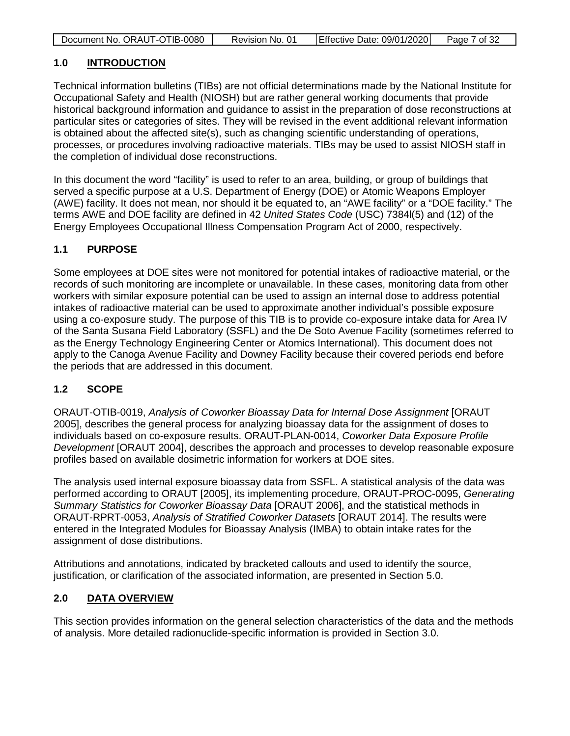| Document No. ORAUT-OTIB-0080 | Revision No. 01 | Effective Date: 09/01/2020 | Page 7 of 32 |
|------------------------------|-----------------|----------------------------|--------------|

# <span id="page-6-0"></span>**1.0 INTRODUCTION**

Technical information bulletins (TIBs) are not official determinations made by the National Institute for Occupational Safety and Health (NIOSH) but are rather general working documents that provide historical background information and guidance to assist in the preparation of dose reconstructions at particular sites or categories of sites. They will be revised in the event additional relevant information is obtained about the affected site(s), such as changing scientific understanding of operations, processes, or procedures involving radioactive materials. TIBs may be used to assist NIOSH staff in the completion of individual dose reconstructions.

In this document the word "facility" is used to refer to an area, building, or group of buildings that served a specific purpose at a U.S. Department of Energy (DOE) or Atomic Weapons Employer (AWE) facility. It does not mean, nor should it be equated to, an "AWE facility" or a "DOE facility." The terms AWE and DOE facility are defined in 42 *United States Code* (USC) 7384l(5) and (12) of the Energy Employees Occupational Illness Compensation Program Act of 2000, respectively.

# <span id="page-6-1"></span>**1.1 PURPOSE**

Some employees at DOE sites were not monitored for potential intakes of radioactive material, or the records of such monitoring are incomplete or unavailable. In these cases, monitoring data from other workers with similar exposure potential can be used to assign an internal dose to address potential intakes of radioactive material can be used to approximate another individual's possible exposure using a co-exposure study. The purpose of this TIB is to provide co-exposure intake data for Area IV of the Santa Susana Field Laboratory (SSFL) and the De Soto Avenue Facility (sometimes referred to as the Energy Technology Engineering Center or Atomics International). This document does not apply to the Canoga Avenue Facility and Downey Facility because their covered periods end before the periods that are addressed in this document.

# <span id="page-6-2"></span>**1.2 SCOPE**

ORAUT-OTIB-0019, *Analysis of Coworker Bioassay Data for Internal Dose Assignment* [ORAUT 2005], describes the general process for analyzing bioassay data for the assignment of doses to individuals based on co-exposure results. ORAUT-PLAN-0014, *Coworker Data Exposure Profile Development* [ORAUT 2004], describes the approach and processes to develop reasonable exposure profiles based on available dosimetric information for workers at DOE sites.

The analysis used internal exposure bioassay data from SSFL. A statistical analysis of the data was performed according to ORAUT [2005], its implementing procedure, ORAUT-PROC-0095, *Generating Summary Statistics for Coworker Bioassay Data* [ORAUT 2006], and the statistical methods in ORAUT-RPRT-0053, *Analysis of Stratified Coworker Datasets* [ORAUT 2014]. The results were entered in the Integrated Modules for Bioassay Analysis (IMBA) to obtain intake rates for the assignment of dose distributions.

Attributions and annotations, indicated by bracketed callouts and used to identify the source, justification, or clarification of the associated information, are presented in Section [5.0.](#page-13-1)

# <span id="page-6-3"></span>**2.0 DATA OVERVIEW**

This section provides information on the general selection characteristics of the data and the methods of analysis. More detailed radionuclide-specific information is provided in Section [3.0.](#page-9-2)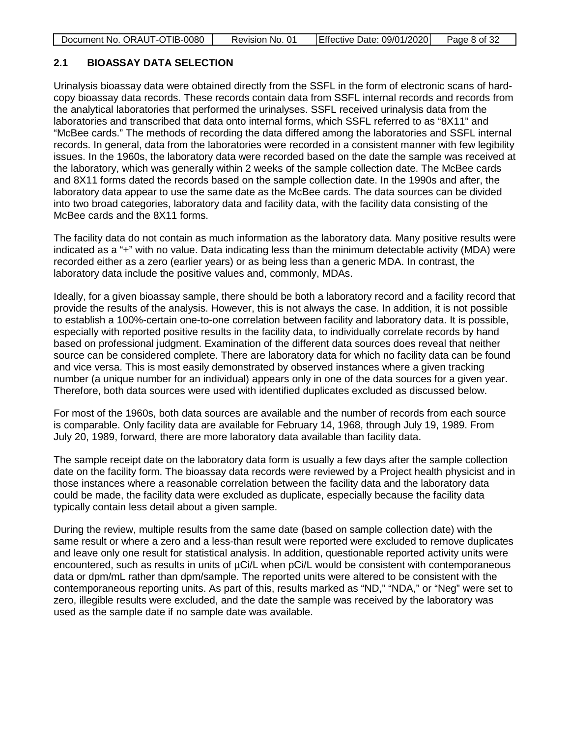| Document No. ORAUT-OTIB-0080 | Revision No. 01 | Effective Date: 09/01/2020 | Page 8 of 32 |
|------------------------------|-----------------|----------------------------|--------------|
|------------------------------|-----------------|----------------------------|--------------|

# <span id="page-7-0"></span>**2.1 BIOASSAY DATA SELECTION**

Urinalysis bioassay data were obtained directly from the SSFL in the form of electronic scans of hardcopy bioassay data records. These records contain data from SSFL internal records and records from the analytical laboratories that performed the urinalyses. SSFL received urinalysis data from the laboratories and transcribed that data onto internal forms, which SSFL referred to as "8X11" and "McBee cards." The methods of recording the data differed among the laboratories and SSFL internal records. In general, data from the laboratories were recorded in a consistent manner with few legibility issues. In the 1960s, the laboratory data were recorded based on the date the sample was received at the laboratory, which was generally within 2 weeks of the sample collection date. The McBee cards and 8X11 forms dated the records based on the sample collection date. In the 1990s and after, the laboratory data appear to use the same date as the McBee cards. The data sources can be divided into two broad categories, laboratory data and facility data, with the facility data consisting of the McBee cards and the 8X11 forms.

The facility data do not contain as much information as the laboratory data. Many positive results were indicated as a "+" with no value. Data indicating less than the minimum detectable activity (MDA) were recorded either as a zero (earlier years) or as being less than a generic MDA. In contrast, the laboratory data include the positive values and, commonly, MDAs.

Ideally, for a given bioassay sample, there should be both a laboratory record and a facility record that provide the results of the analysis. However, this is not always the case. In addition, it is not possible to establish a 100%-certain one-to-one correlation between facility and laboratory data. It is possible, especially with reported positive results in the facility data, to individually correlate records by hand based on professional judgment. Examination of the different data sources does reveal that neither source can be considered complete. There are laboratory data for which no facility data can be found and vice versa. This is most easily demonstrated by observed instances where a given tracking number (a unique number for an individual) appears only in one of the data sources for a given year. Therefore, both data sources were used with identified duplicates excluded as discussed below.

For most of the 1960s, both data sources are available and the number of records from each source is comparable. Only facility data are available for February 14, 1968, through July 19, 1989. From July 20, 1989, forward, there are more laboratory data available than facility data.

The sample receipt date on the laboratory data form is usually a few days after the sample collection date on the facility form. The bioassay data records were reviewed by a Project health physicist and in those instances where a reasonable correlation between the facility data and the laboratory data could be made, the facility data were excluded as duplicate, especially because the facility data typically contain less detail about a given sample.

During the review, multiple results from the same date (based on sample collection date) with the same result or where a zero and a less-than result were reported were excluded to remove duplicates and leave only one result for statistical analysis. In addition, questionable reported activity units were encountered, such as results in units of  $\mu$ Ci/L when  $\mu$ Ci/L would be consistent with contemporaneous data or dpm/mL rather than dpm/sample. The reported units were altered to be consistent with the contemporaneous reporting units. As part of this, results marked as "ND," "NDA," or "Neg" were set to zero, illegible results were excluded, and the date the sample was received by the laboratory was used as the sample date if no sample date was available.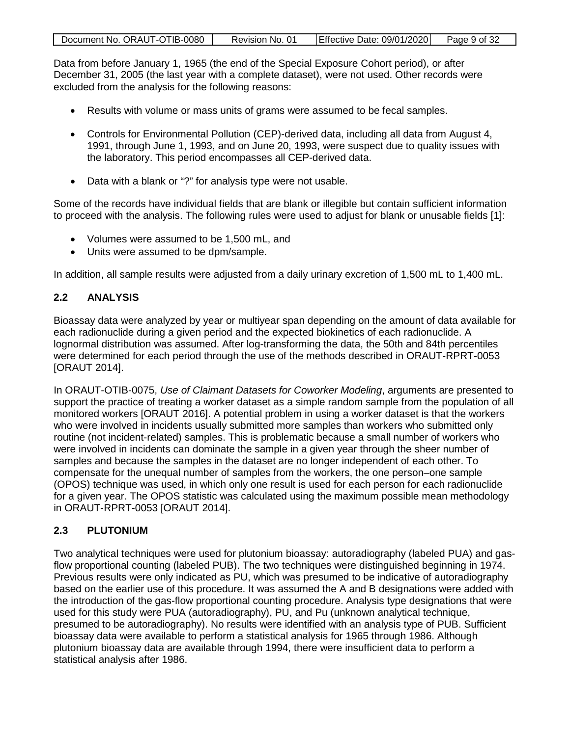| Document No. ORAUT-OTIB-0080 | Revision No. 01 | Effective Date: 09/01/2020 | Page 9 of 32 |
|------------------------------|-----------------|----------------------------|--------------|
|                              |                 |                            |              |

Data from before January 1, 1965 (the end of the Special Exposure Cohort period), or after December 31, 2005 (the last year with a complete dataset), were not used. Other records were excluded from the analysis for the following reasons:

- Results with volume or mass units of grams were assumed to be fecal samples.
- Controls for Environmental Pollution (CEP)-derived data, including all data from August 4, 1991, through June 1, 1993, and on June 20, 1993, were suspect due to quality issues with the laboratory. This period encompasses all CEP-derived data.
- Data with a blank or "?" for analysis type were not usable.

Some of the records have individual fields that are blank or illegible but contain sufficient information to proceed with the analysis. The following rules were used to adjust for blank or unusable fields [1]:

- Volumes were assumed to be 1,500 mL, and
- Units were assumed to be dpm/sample.

In addition, all sample results were adjusted from a daily urinary excretion of 1,500 mL to 1,400 mL.

# <span id="page-8-0"></span>**2.2 ANALYSIS**

Bioassay data were analyzed by year or multiyear span depending on the amount of data available for each radionuclide during a given period and the expected biokinetics of each radionuclide. A lognormal distribution was assumed. After log-transforming the data, the 50th and 84th percentiles were determined for each period through the use of the methods described in ORAUT-RPRT-0053 [ORAUT 2014].

In ORAUT-OTIB-0075, *Use of Claimant Datasets for Coworker Modeling*, arguments are presented to support the practice of treating a worker dataset as a simple random sample from the population of all monitored workers [ORAUT 2016]. A potential problem in using a worker dataset is that the workers who were involved in incidents usually submitted more samples than workers who submitted only routine (not incident-related) samples. This is problematic because a small number of workers who were involved in incidents can dominate the sample in a given year through the sheer number of samples and because the samples in the dataset are no longer independent of each other. To compensate for the unequal number of samples from the workers, the one person–one sample (OPOS) technique was used, in which only one result is used for each person for each radionuclide for a given year. The OPOS statistic was calculated using the maximum possible mean methodology in ORAUT-RPRT-0053 [ORAUT 2014].

# <span id="page-8-1"></span>**2.3 PLUTONIUM**

Two analytical techniques were used for plutonium bioassay: autoradiography (labeled PUA) and gasflow proportional counting (labeled PUB). The two techniques were distinguished beginning in 1974. Previous results were only indicated as PU, which was presumed to be indicative of autoradiography based on the earlier use of this procedure. It was assumed the A and B designations were added with the introduction of the gas-flow proportional counting procedure. Analysis type designations that were used for this study were PUA (autoradiography), PU, and Pu (unknown analytical technique, presumed to be autoradiography). No results were identified with an analysis type of PUB. Sufficient bioassay data were available to perform a statistical analysis for 1965 through 1986. Although plutonium bioassay data are available through 1994, there were insufficient data to perform a statistical analysis after 1986.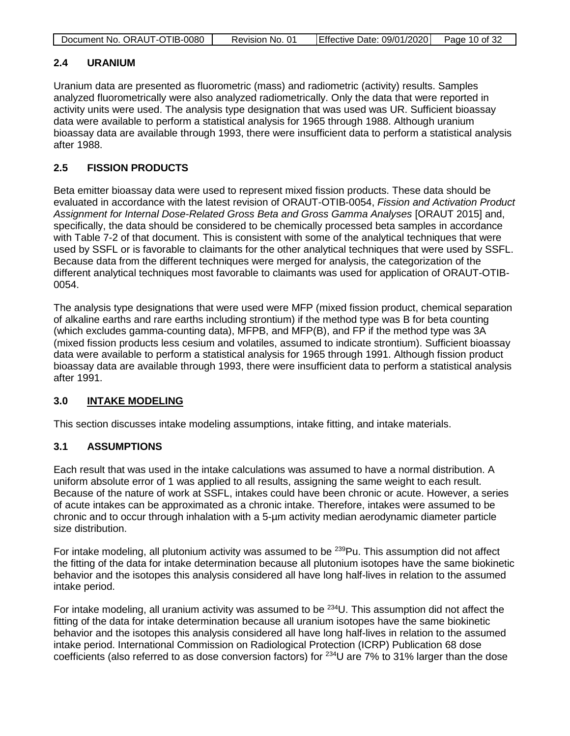| Document No. ORAUT-OTIB-0080 | Revision No. 01 | Effective Date: 09/01/2020 | Page 10 of 32 |
|------------------------------|-----------------|----------------------------|---------------|

## <span id="page-9-0"></span>**2.4 URANIUM**

Uranium data are presented as fluorometric (mass) and radiometric (activity) results. Samples analyzed fluorometrically were also analyzed radiometrically. Only the data that were reported in activity units were used. The analysis type designation that was used was UR. Sufficient bioassay data were available to perform a statistical analysis for 1965 through 1988. Although uranium bioassay data are available through 1993, there were insufficient data to perform a statistical analysis after 1988.

# <span id="page-9-1"></span>**2.5 FISSION PRODUCTS**

Beta emitter bioassay data were used to represent mixed fission products. These data should be evaluated in accordance with the latest revision of ORAUT-OTIB-0054, *Fission and Activation Product Assignment for Internal Dose-Related Gross Beta and Gross Gamma Analyses* [ORAUT 2015] and, specifically, the data should be considered to be chemically processed beta samples in accordance with Table 7-2 of that document. This is consistent with some of the analytical techniques that were used by SSFL or is favorable to claimants for the other analytical techniques that were used by SSFL. Because data from the different techniques were merged for analysis, the categorization of the different analytical techniques most favorable to claimants was used for application of ORAUT-OTIB-0054.

The analysis type designations that were used were MFP (mixed fission product, chemical separation of alkaline earths and rare earths including strontium) if the method type was B for beta counting (which excludes gamma-counting data), MFPB, and MFP(B), and FP if the method type was 3A (mixed fission products less cesium and volatiles, assumed to indicate strontium). Sufficient bioassay data were available to perform a statistical analysis for 1965 through 1991. Although fission product bioassay data are available through 1993, there were insufficient data to perform a statistical analysis after 1991.

# <span id="page-9-2"></span>**3.0 INTAKE MODELING**

This section discusses intake modeling assumptions, intake fitting, and intake materials.

# <span id="page-9-3"></span>**3.1 ASSUMPTIONS**

Each result that was used in the intake calculations was assumed to have a normal distribution. A uniform absolute error of 1 was applied to all results, assigning the same weight to each result. Because of the nature of work at SSFL, intakes could have been chronic or acute. However, a series of acute intakes can be approximated as a chronic intake. Therefore, intakes were assumed to be chronic and to occur through inhalation with a 5-µm activity median aerodynamic diameter particle size distribution.

For intake modeling, all plutonium activity was assumed to be  $^{239}$ Pu. This assumption did not affect the fitting of the data for intake determination because all plutonium isotopes have the same biokinetic behavior and the isotopes this analysis considered all have long half-lives in relation to the assumed intake period.

For intake modeling, all uranium activity was assumed to be  $^{234}$ U. This assumption did not affect the fitting of the data for intake determination because all uranium isotopes have the same biokinetic behavior and the isotopes this analysis considered all have long half-lives in relation to the assumed intake period. International Commission on Radiological Protection (ICRP) Publication 68 dose coefficients (also referred to as dose conversion factors) for 234U are 7% to 31% larger than the dose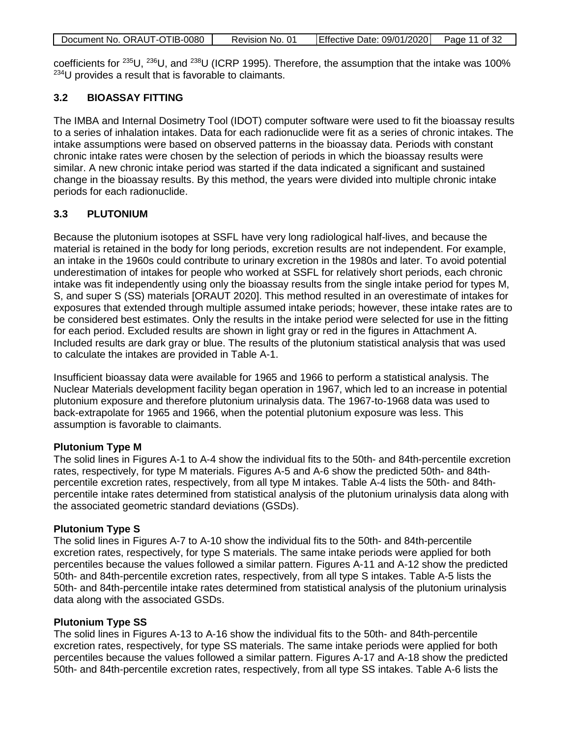|  | Document No. ORAUT-OTIB-0080 | Revision No. 01 | Effective Date: 09/01/2020 | Page 11 of 32 |
|--|------------------------------|-----------------|----------------------------|---------------|
|--|------------------------------|-----------------|----------------------------|---------------|

coefficients for 235U, 236U, and 238U (ICRP 1995). Therefore, the assumption that the intake was 100% 234U provides a result that is favorable to claimants.

# <span id="page-10-0"></span>**3.2 BIOASSAY FITTING**

The IMBA and Internal Dosimetry Tool (IDOT) computer software were used to fit the bioassay results to a series of inhalation intakes. Data for each radionuclide were fit as a series of chronic intakes. The intake assumptions were based on observed patterns in the bioassay data. Periods with constant chronic intake rates were chosen by the selection of periods in which the bioassay results were similar. A new chronic intake period was started if the data indicated a significant and sustained change in the bioassay results. By this method, the years were divided into multiple chronic intake periods for each radionuclide.

## <span id="page-10-1"></span>**3.3 PLUTONIUM**

Because the plutonium isotopes at SSFL have very long radiological half-lives, and because the material is retained in the body for long periods, excretion results are not independent. For example, an intake in the 1960s could contribute to urinary excretion in the 1980s and later. To avoid potential underestimation of intakes for people who worked at SSFL for relatively short periods, each chronic intake was fit independently using only the bioassay results from the single intake period for types M, S, and super S (SS) materials [ORAUT 2020]. This method resulted in an overestimate of intakes for exposures that extended through multiple assumed intake periods; however, these intake rates are to be considered best estimates. Only the results in the intake period were selected for use in the fitting for each period. Excluded results are shown in light gray or red in the figures in Attachment A. Included results are dark gray or blue. The results of the plutonium statistical analysis that was used to calculate the intakes are provided in Table A-1.

Insufficient bioassay data were available for 1965 and 1966 to perform a statistical analysis. The Nuclear Materials development facility began operation in 1967, which led to an increase in potential plutonium exposure and therefore plutonium urinalysis data. The 1967-to-1968 data was used to back-extrapolate for 1965 and 1966, when the potential plutonium exposure was less. This assumption is favorable to claimants.

#### **Plutonium Type M**

The solid lines in Figures A-1 to A-4 show the individual fits to the 50th- and 84th-percentile excretion rates, respectively, for type M materials. Figures A-5 and A-6 show the predicted 50th- and 84thpercentile excretion rates, respectively, from all type M intakes. Table A-4 lists the 50th- and 84thpercentile intake rates determined from statistical analysis of the plutonium urinalysis data along with the associated geometric standard deviations (GSDs).

#### **Plutonium Type S**

The solid lines in Figures A-7 to A-10 show the individual fits to the 50th- and 84th-percentile excretion rates, respectively, for type S materials. The same intake periods were applied for both percentiles because the values followed a similar pattern. Figures A-11 and A-12 show the predicted 50th- and 84th-percentile excretion rates, respectively, from all type S intakes. Table A-5 lists the 50th- and 84th-percentile intake rates determined from statistical analysis of the plutonium urinalysis data along with the associated GSDs.

#### **Plutonium Type SS**

The solid lines in Figures A-13 to A-16 show the individual fits to the 50th- and 84th-percentile excretion rates, respectively, for type SS materials. The same intake periods were applied for both percentiles because the values followed a similar pattern. Figures A-17 and A-18 show the predicted 50th- and 84th-percentile excretion rates, respectively, from all type SS intakes. Table A-6 lists the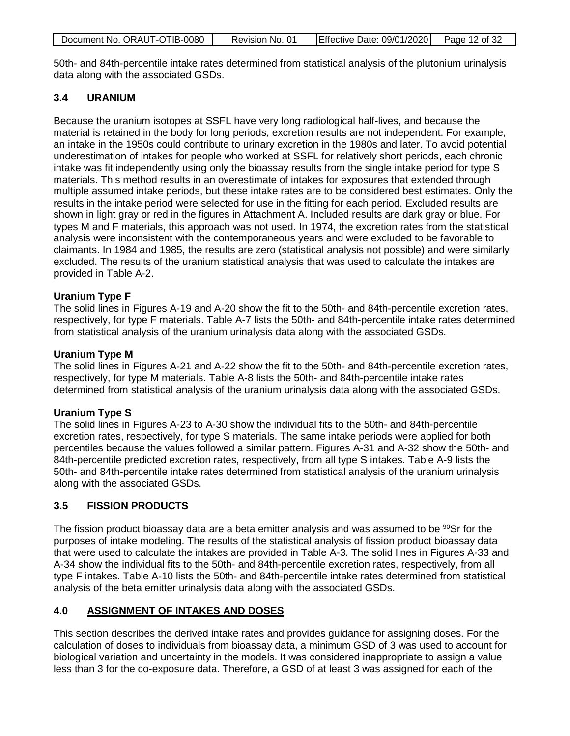| Document No. ORAUT-OTIB-0080 | Revision No. 01 | Effective Date: 09/01/2020   Page 12 of 32 |  |
|------------------------------|-----------------|--------------------------------------------|--|

50th- and 84th-percentile intake rates determined from statistical analysis of the plutonium urinalysis data along with the associated GSDs.

# <span id="page-11-0"></span>**3.4 URANIUM**

Because the uranium isotopes at SSFL have very long radiological half-lives, and because the material is retained in the body for long periods, excretion results are not independent. For example, an intake in the 1950s could contribute to urinary excretion in the 1980s and later. To avoid potential underestimation of intakes for people who worked at SSFL for relatively short periods, each chronic intake was fit independently using only the bioassay results from the single intake period for type S materials. This method results in an overestimate of intakes for exposures that extended through multiple assumed intake periods, but these intake rates are to be considered best estimates. Only the results in the intake period were selected for use in the fitting for each period. Excluded results are shown in light gray or red in the figures in Attachment A. Included results are dark gray or blue. For types M and F materials, this approach was not used. In 1974, the excretion rates from the statistical analysis were inconsistent with the contemporaneous years and were excluded to be favorable to claimants. In 1984 and 1985, the results are zero (statistical analysis not possible) and were similarly excluded. The results of the uranium statistical analysis that was used to calculate the intakes are provided in Table A-2.

## **Uranium Type F**

The solid lines in Figures A-19 and A-20 show the fit to the 50th- and 84th-percentile excretion rates, respectively, for type F materials. Table A-7 lists the 50th- and 84th-percentile intake rates determined from statistical analysis of the uranium urinalysis data along with the associated GSDs.

## **Uranium Type M**

The solid lines in Figures A-21 and A-22 show the fit to the 50th- and 84th-percentile excretion rates, respectively, for type M materials. Table A-8 lists the 50th- and 84th-percentile intake rates determined from statistical analysis of the uranium urinalysis data along with the associated GSDs.

# **Uranium Type S**

The solid lines in Figures A-23 to A-30 show the individual fits to the 50th- and 84th-percentile excretion rates, respectively, for type S materials. The same intake periods were applied for both percentiles because the values followed a similar pattern. Figures A-31 and A-32 show the 50th- and 84th-percentile predicted excretion rates, respectively, from all type S intakes. Table A-9 lists the 50th- and 84th-percentile intake rates determined from statistical analysis of the uranium urinalysis along with the associated GSDs.

# <span id="page-11-1"></span>**3.5 FISSION PRODUCTS**

The fission product bioassay data are a beta emitter analysis and was assumed to be  $90$ Sr for the purposes of intake modeling. The results of the statistical analysis of fission product bioassay data that were used to calculate the intakes are provided in Table A-3. The solid lines in Figures A-33 and A-34 show the individual fits to the 50th- and 84th-percentile excretion rates, respectively, from all type F intakes. Table A-10 lists the 50th- and 84th-percentile intake rates determined from statistical analysis of the beta emitter urinalysis data along with the associated GSDs.

# <span id="page-11-2"></span>**4.0 ASSIGNMENT OF INTAKES AND DOSES**

This section describes the derived intake rates and provides guidance for assigning doses. For the calculation of doses to individuals from bioassay data, a minimum GSD of 3 was used to account for biological variation and uncertainty in the models. It was considered inappropriate to assign a value less than 3 for the co-exposure data. Therefore, a GSD of at least 3 was assigned for each of the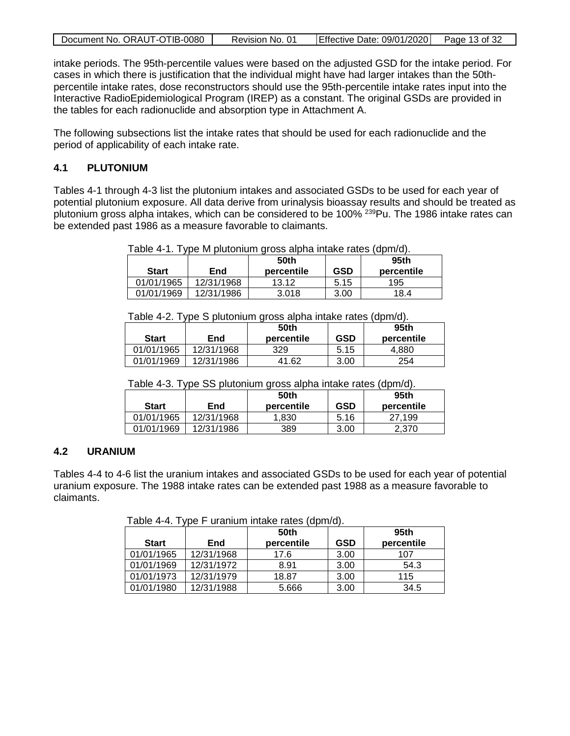| Document No. ORAUT-OTIB-0080 | Revision No. 01 | Effective Date: 09/01/2020 Page 13 of 32 |  |
|------------------------------|-----------------|------------------------------------------|--|
|                              |                 |                                          |  |

intake periods. The 95th-percentile values were based on the adjusted GSD for the intake period. For cases in which there is justification that the individual might have had larger intakes than the 50thpercentile intake rates, dose reconstructors should use the 95th-percentile intake rates input into the Interactive RadioEpidemiological Program (IREP) as a constant. The original GSDs are provided in the tables for each radionuclide and absorption type in Attachment A.

The following subsections list the intake rates that should be used for each radionuclide and the period of applicability of each intake rate.

# <span id="page-12-0"></span>**4.1 PLUTONIUM**

Tables 4-1 through 4-3 list the plutonium intakes and associated GSDs to be used for each year of potential plutonium exposure. All data derive from urinalysis bioassay results and should be treated as plutonium gross alpha intakes, which can be considered to be 100%<sup>239</sup>Pu. The 1986 intake rates can be extended past 1986 as a measure favorable to claimants.

<span id="page-12-2"></span>Table 4-1. Type M plutonium gross alpha intake rates (dpm/d).

| <b>Start</b> | <b>End</b> | 50th<br>percentile | GSD  | 95th<br>percentile |
|--------------|------------|--------------------|------|--------------------|
| 01/01/1965   | 12/31/1968 | 13.12              | 5.15 | 195                |
| 01/01/1969   | 12/31/1986 | 3.018              | 3.00 | 18.4               |

<span id="page-12-3"></span>Table 4-2. Type S plutonium gross alpha intake rates (dpm/d).

| <b>Start</b> | End        | 50th<br>percentile | <b>GSD</b> | 95th<br>percentile |
|--------------|------------|--------------------|------------|--------------------|
| 01/01/1965   | 12/31/1968 | 329                | 5.15       | 4.880              |
| 01/01/1969   | 12/31/1986 | .62<br>41          | 3.00       | 254                |

<span id="page-12-4"></span>Table 4-3. Type SS plutonium gross alpha intake rates (dpm/d).

| <b>Start</b> | End        | 50th<br>percentile | <b>GSD</b> | 95th<br>percentile |
|--------------|------------|--------------------|------------|--------------------|
| 01/01/1965   | 12/31/1968 | 1.830              | 5.16       | 27.199             |
| 01/01/1969   | 12/31/1986 | 389                | 3.00       | 2.370              |

# <span id="page-12-1"></span>**4.2 URANIUM**

Tables 4-4 to 4-6 list the uranium intakes and associated GSDs to be used for each year of potential uranium exposure. The 1988 intake rates can be extended past 1988 as a measure favorable to claimants.

<span id="page-12-5"></span>Table 4-4. Type F uranium intake rates (dpm/d).

| <b>Start</b> | ╯<br>End   | 50th<br>percentile | <b>GSD</b> | 95th<br>percentile |
|--------------|------------|--------------------|------------|--------------------|
| 01/01/1965   | 12/31/1968 | 17.6               | 3.00       | 107                |
| 01/01/1969   | 12/31/1972 | 8.91               | 3.00       | 54.3               |
| 01/01/1973   | 12/31/1979 | 18.87              | 3.00       | 115                |
| 01/01/1980   | 12/31/1988 | 5.666              | 3.00       | 34.5               |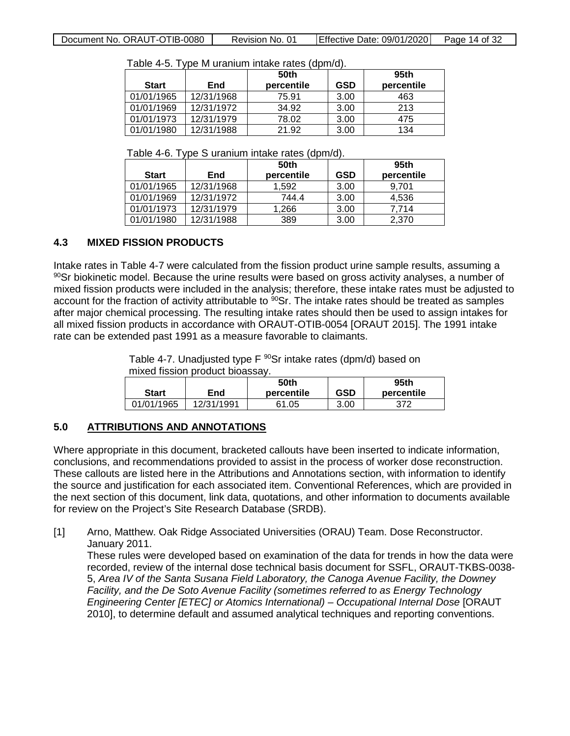| <b>Start</b> | End        | 50th<br>percentile | <b>GSD</b> | 95th<br>percentile |
|--------------|------------|--------------------|------------|--------------------|
| 01/01/1965   | 12/31/1968 | 75.91              | 3.00       | 463                |
| 01/01/1969   | 12/31/1972 | 34.92              | 3.00       | 213                |
| 01/01/1973   | 12/31/1979 | 78.02              | 3.00       | 475                |
| 01/01/1980   | 12/31/1988 | 21.92              | 3.00       | 134                |

<span id="page-13-2"></span>Table 4-5. Type M uranium intake rates (dpm/d).

<span id="page-13-3"></span>Table 4-6. Type S uranium intake rates (dpm/d).

| <b>Start</b> | End        | 50th<br>percentile | <b>GSD</b> | 95th<br>percentile |
|--------------|------------|--------------------|------------|--------------------|
| 01/01/1965   | 12/31/1968 | 1.592              | 3.00       | 9.701              |
| 01/01/1969   | 12/31/1972 | 744.4              | 3.00       | 4,536              |
| 01/01/1973   | 12/31/1979 | 1.266              | 3.00       | 7,714              |
| 01/01/1980   | 12/31/1988 | 389                | 3.00       | 2,370              |

# <span id="page-13-0"></span>**4.3 MIXED FISSION PRODUCTS**

Intake rates in Table 4-7 were calculated from the fission product urine sample results, assuming a  $90$ Sr biokinetic model. Because the urine results were based on gross activity analyses, a number of mixed fission products were included in the analysis; therefore, these intake rates must be adjusted to account for the fraction of activity attributable to <sup>90</sup>Sr. The intake rates should be treated as samples after major chemical processing. The resulting intake rates should then be used to assign intakes for all mixed fission products in accordance with ORAUT-OTIB-0054 [ORAUT 2015]. The 1991 intake rate can be extended past 1991 as a measure favorable to claimants.

> <span id="page-13-4"></span>Table 4-7. Unadjusted type F <sup>90</sup>Sr intake rates (dpm/d) based on mixed fission product bioassay.

|              |            | 50th       |      | 95th       |
|--------------|------------|------------|------|------------|
| <b>Start</b> | End        | percentile | GSD  | percentile |
| 01/01/1965   | 12/31/1991 | .05<br>61  | 3.00 | 372        |

#### <span id="page-13-1"></span>**5.0 ATTRIBUTIONS AND ANNOTATIONS**

Where appropriate in this document, bracketed callouts have been inserted to indicate information, conclusions, and recommendations provided to assist in the process of worker dose reconstruction. These callouts are listed here in the Attributions and Annotations section, with information to identify the source and justification for each associated item. Conventional References, which are provided in the next section of this document, link data, quotations, and other information to documents available for review on the Project's Site Research Database (SRDB).

[1] Arno, Matthew. Oak Ridge Associated Universities (ORAU) Team. Dose Reconstructor. January 2011.

These rules were developed based on examination of the data for trends in how the data were recorded, review of the internal dose technical basis document for SSFL, ORAUT-TKBS-0038- 5, *Area IV of the Santa Susana Field Laboratory, the Canoga Avenue Facility, the Downey Facility, and the De Soto Avenue Facility (sometimes referred to as Energy Technology Engineering Center [ETEC] or Atomics International) – Occupational Internal Dose* [ORAUT 2010], to determine default and assumed analytical techniques and reporting conventions.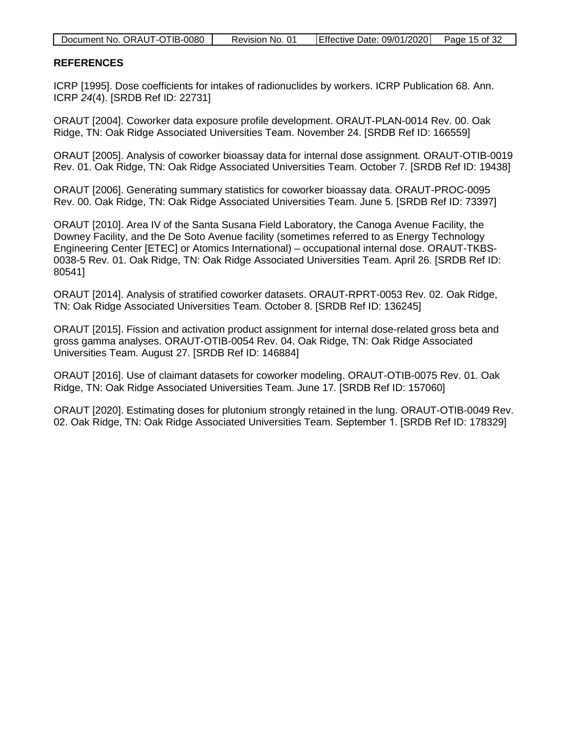| Document No. ORAUT-OTIB-0080 | Revision No. 01 | Effective Date: 09/01/2020   Page 15 of 32 |  |
|------------------------------|-----------------|--------------------------------------------|--|

#### <span id="page-14-0"></span>**REFERENCES**

ICRP [1995]. Dose coefficients for intakes of radionuclides by workers. ICRP Publication 68. Ann. ICRP *24*(4). [SRDB Ref ID: 22731]

ORAUT [2004]. Coworker data exposure profile development. ORAUT-PLAN-0014 Rev. 00. Oak Ridge, TN: Oak Ridge Associated Universities Team. November 24. [SRDB Ref ID: 166559]

ORAUT [2005]. Analysis of coworker bioassay data for internal dose assignment. ORAUT-OTIB-0019 Rev. 01. Oak Ridge, TN: Oak Ridge Associated Universities Team. October 7. [SRDB Ref ID: 19438]

ORAUT [2006]. Generating summary statistics for coworker bioassay data. ORAUT-PROC-0095 Rev. 00. Oak Ridge, TN: Oak Ridge Associated Universities Team. June 5. [SRDB Ref ID: 73397]

ORAUT [2010]. Area IV of the Santa Susana Field Laboratory, the Canoga Avenue Facility, the Downey Facility, and the De Soto Avenue facility (sometimes referred to as Energy Technology Engineering Center [ETEC] or Atomics International) – occupational internal dose. ORAUT-TKBS-0038-5 Rev. 01. Oak Ridge, TN: Oak Ridge Associated Universities Team. April 26. [SRDB Ref ID: 80541]

ORAUT [2014]. Analysis of stratified coworker datasets. ORAUT-RPRT-0053 Rev. 02. Oak Ridge, TN: Oak Ridge Associated Universities Team. October 8. [SRDB Ref ID: 136245]

ORAUT [2015]. Fission and activation product assignment for internal dose-related gross beta and gross gamma analyses. ORAUT-OTIB-0054 Rev. 04. Oak Ridge, TN: Oak Ridge Associated Universities Team. August 27. [SRDB Ref ID: 146884]

ORAUT [2016]. Use of claimant datasets for coworker modeling. ORAUT-OTIB-0075 Rev. 01. Oak Ridge, TN: Oak Ridge Associated Universities Team. June 17. [SRDB Ref ID: 157060]

ORAUT [2020]. Estimating doses for plutonium strongly retained in the lung. ORAUT-OTIB-0049 Rev. 02. Oak Ridge, TN: Oak Ridge Associated Universities Team. September 1. [SRDB Ref ID: 178329]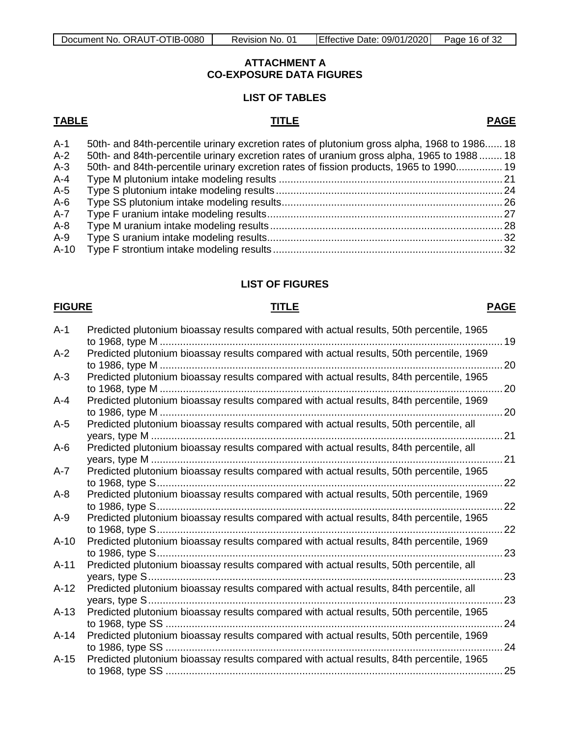#### **ATTACHMENT A CO-EXPOSURE DATA FIGURES**

# **LIST OF TABLES**

#### <span id="page-15-0"></span>**TABLE TITLE PAGE**

| $A-1$  | 50th- and 84th-percentile urinary excretion rates of plutonium gross alpha, 1968 to 1986 18 |  |
|--------|---------------------------------------------------------------------------------------------|--|
| $A-2$  | 50th- and 84th-percentile urinary excretion rates of uranium gross alpha, 1965 to 1988  18  |  |
| $A-3$  | 50th- and 84th-percentile urinary excretion rates of fission products, 1965 to 1990 19      |  |
| A-4    |                                                                                             |  |
| $A-5$  |                                                                                             |  |
| $A-6$  |                                                                                             |  |
| A-7    |                                                                                             |  |
| $A-8$  |                                                                                             |  |
| A-9    |                                                                                             |  |
| $A-10$ |                                                                                             |  |
|        |                                                                                             |  |

# **LIST OF FIGURES**

## **FIGURE TITLE PAGE**

| $A-1$   | Predicted plutonium bioassay results compared with actual results, 50th percentile, 1965                     | 19         |
|---------|--------------------------------------------------------------------------------------------------------------|------------|
| $A-2$   | Predicted plutonium bioassay results compared with actual results, 50th percentile, 1969                     | 20         |
| $A-3$   | Predicted plutonium bioassay results compared with actual results, 84th percentile, 1965                     | $\dots$ 20 |
| A-4     | Predicted plutonium bioassay results compared with actual results, 84th percentile, 1969<br>to 1986, type M  | 20         |
| $A-5$   | Predicted plutonium bioassay results compared with actual results, 50th percentile, all                      | 21         |
| $A-6$   | Predicted plutonium bioassay results compared with actual results, 84th percentile, all                      | 21         |
| $A - 7$ | Predicted plutonium bioassay results compared with actual results, 50th percentile, 1965                     | 22         |
| $A-8$   | Predicted plutonium bioassay results compared with actual results, 50th percentile, 1969<br>to 1986, type S  | 22         |
| $A-9$   | Predicted plutonium bioassay results compared with actual results, 84th percentile, 1965                     | 22         |
| $A-10$  | Predicted plutonium bioassay results compared with actual results, 84th percentile, 1969<br>to 1986, type S  | 23         |
| $A-11$  | Predicted plutonium bioassay results compared with actual results, 50th percentile, all                      | 23         |
| $A-12$  | Predicted plutonium bioassay results compared with actual results, 84th percentile, all                      | 23         |
| $A-13$  | Predicted plutonium bioassay results compared with actual results, 50th percentile, 1965                     | 24         |
| $A-14$  | Predicted plutonium bioassay results compared with actual results, 50th percentile, 1969<br>to 1986, type SS | 24         |
| $A-15$  | Predicted plutonium bioassay results compared with actual results, 84th percentile, 1965                     | 25         |
|         |                                                                                                              |            |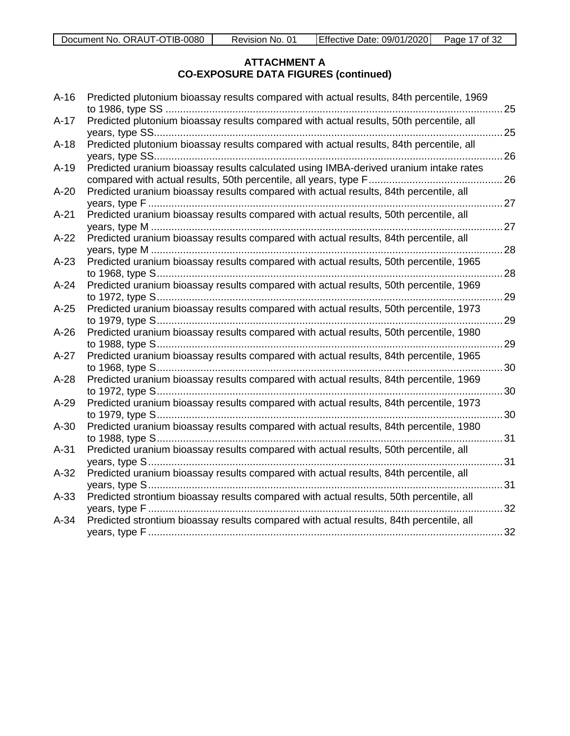| $A-16$ | Predicted plutonium bioassay results compared with actual results, 84th percentile, 1969 |               |
|--------|------------------------------------------------------------------------------------------|---------------|
| $A-17$ | Predicted plutonium bioassay results compared with actual results, 50th percentile, all  |               |
| $A-18$ | Predicted plutonium bioassay results compared with actual results, 84th percentile, all  |               |
| $A-19$ | Predicted uranium bioassay results calculated using IMBA-derived uranium intake rates    |               |
| $A-20$ | Predicted uranium bioassay results compared with actual results, 84th percentile, all    |               |
| $A-21$ | Predicted uranium bioassay results compared with actual results, 50th percentile, all    |               |
| $A-22$ | Predicted uranium bioassay results compared with actual results, 84th percentile, all    |               |
| $A-23$ | Predicted uranium bioassay results compared with actual results, 50th percentile, 1965   |               |
| $A-24$ | Predicted uranium bioassay results compared with actual results, 50th percentile, 1969   | 29            |
| $A-25$ | Predicted uranium bioassay results compared with actual results, 50th percentile, 1973   | 29            |
| $A-26$ | Predicted uranium bioassay results compared with actual results, 50th percentile, 1980   | $\ldots$ . 29 |
| $A-27$ | Predicted uranium bioassay results compared with actual results, 84th percentile, 1965   |               |
| $A-28$ | Predicted uranium bioassay results compared with actual results, 84th percentile, 1969   |               |
| $A-29$ | Predicted uranium bioassay results compared with actual results, 84th percentile, 1973   |               |
| $A-30$ | Predicted uranium bioassay results compared with actual results, 84th percentile, 1980   |               |
| $A-31$ | Predicted uranium bioassay results compared with actual results, 50th percentile, all    |               |
| $A-32$ | Predicted uranium bioassay results compared with actual results, 84th percentile, all    |               |
| $A-33$ | Predicted strontium bioassay results compared with actual results, 50th percentile, all  |               |
| $A-34$ | Predicted strontium bioassay results compared with actual results, 84th percentile, all  |               |
|        |                                                                                          |               |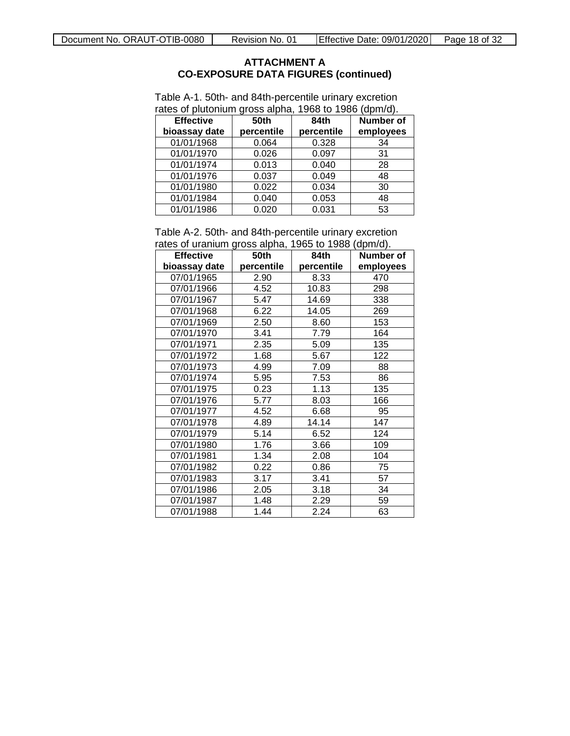| <b>Effective</b><br>bioassay date | <b>50th</b><br>percentile | 84th<br>percentile | <b>Number of</b><br>employees |
|-----------------------------------|---------------------------|--------------------|-------------------------------|
| 01/01/1968                        | 0.064                     | 0.328              | 34                            |
| 01/01/1970                        | 0.026                     | 0.097              | 31                            |
| 01/01/1974                        | 0.013                     | 0.040              | 28                            |
| 01/01/1976                        | 0.037                     | 0.049              | 48                            |
| 01/01/1980                        | 0.022                     | 0.034              | 30                            |
| 01/01/1984                        | 0.040                     | 0.053              | 48                            |
| 01/01/1986                        | 0.020                     | 0.031              | 53                            |

<span id="page-17-0"></span>Table A-1. 50th- and 84th-percentile urinary excretion rates of plutonium gross alpha, 1968 to 1986 (dpm/d).

<span id="page-17-1"></span>Table A-2. 50th- and 84th-percentile urinary excretion rates of uranium gross alpha, 1965 to 1988 (dpm/d).

| <b>Effective</b> | $  -$<br><b>50th</b> | 84th       | $\cdot$ $\cdot$ $\cdot$<br>Number of |
|------------------|----------------------|------------|--------------------------------------|
| bioassay date    | percentile           | percentile | employees                            |
| 07/01/1965       | 2.90                 | 8.33       | 470                                  |
| 07/01/1966       | 4.52                 | 10.83      | 298                                  |
| 07/01/1967       | 5.47                 | 14.69      | 338                                  |
| 07/01/1968       | 6.22                 | 14.05      | 269                                  |
| 07/01/1969       | 2.50                 | 8.60       | 153                                  |
| 07/01/1970       | 3.41                 | 7.79       | 164                                  |
| 07/01/1971       | 2.35                 | 5.09       | 135                                  |
| 07/01/1972       | 1.68                 | 5.67       | 122                                  |
| 07/01/1973       | 4.99                 | 7.09       | 88                                   |
| 07/01/1974       | 5.95                 | 7.53       | 86                                   |
| 07/01/1975       | 0.23                 | 1.13       | 135                                  |
| 07/01/1976       | 5.77                 | 8.03       | 166                                  |
| 07/01/1977       | 4.52                 | 6.68       | 95                                   |
| 07/01/1978       | 4.89                 | 14.14      | 147                                  |
| 07/01/1979       | 5.14                 | 6.52       | 124                                  |
| 07/01/1980       | 1.76                 | 3.66       | 109                                  |
| 07/01/1981       | 1.34                 | 2.08       | 104                                  |
| 07/01/1982       | 0.22                 | 0.86       | 75                                   |
| 07/01/1983       | 3.17                 | 3.41       | 57                                   |
| 07/01/1986       | 2.05                 | 3.18       | 34                                   |
| 07/01/1987       | 1.48                 | 2.29       | 59                                   |
| 07/01/1988       | 1.44                 | 2.24       | 63                                   |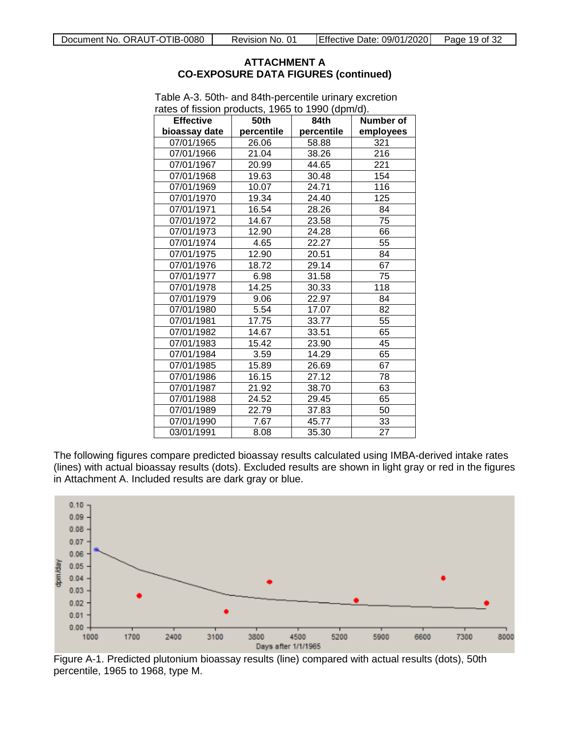| $\alpha$ area or nasion products, 1909 to 1990 (upin/u).<br><b>Effective</b> | 50th       | 84th       | Number of |
|------------------------------------------------------------------------------|------------|------------|-----------|
| bioassay date                                                                | percentile | percentile | employees |
| 07/01/1965                                                                   | 26.06      | 58.88      | 321       |
| 07/01/1966                                                                   | 21.04      | 38.26      | 216       |
| 07/01/1967                                                                   | 20.99      | 44.65      | 221       |
| 07/01/1968                                                                   | 19.63      | 30.48      | 154       |
| 07/01/1969                                                                   | 10.07      | 24.71      | 116       |
| 07/01/1970                                                                   | 19.34      | 24.40      | 125       |
| 07/01/1971                                                                   | 16.54      | 28.26      | 84        |
| 07/01/1972                                                                   | 14.67      | 23.58      | 75        |
| 07/01/1973                                                                   | 12.90      | 24.28      | 66        |
| 07/01/1974                                                                   | 4.65       | 22.27      | 55        |
| 07/01/1975                                                                   | 12.90      | 20.51      | 84        |
| 07/01/1976                                                                   | 18.72      | 29.14      | 67        |
| 07/01/1977                                                                   | 6.98       | 31.58      | 75        |
| 07/01/1978                                                                   | 14.25      | 30.33      | 118       |
| 07/01/1979                                                                   | 9.06       | 22.97      | 84        |
| 07/01/1980                                                                   | 5.54       | 17.07      | 82        |
| 07/01/1981                                                                   | 17.75      | 33.77      | 55        |
| 07/01/1982                                                                   | 14.67      | 33.51      | 65        |
| 07/01/1983                                                                   | 15.42      | 23.90      | 45        |
| 07/01/1984                                                                   | 3.59       | 14.29      | 65        |
| 07/01/1985                                                                   | 15.89      | 26.69      | 67        |
| 07/01/1986                                                                   | 16.15      | 27.12      | 78        |
| 07/01/1987                                                                   | 21.92      | 38.70      | 63        |
| 07/01/1988                                                                   | 24.52      | 29.45      | 65        |
| 07/01/1989                                                                   | 22.79      | 37.83      | 50        |
| 07/01/1990                                                                   | 7.67       | 45.77      | 33        |
| 03/01/1991                                                                   | 8.08       | 35.30      | 27        |

<span id="page-18-0"></span>Table A-3. 50th- and 84th-percentile urinary excretion rates of fission products, 1965 to 1990 (dpm/d).

The following figures compare predicted bioassay results calculated using IMBA-derived intake rates (lines) with actual bioassay results (dots). Excluded results are shown in light gray or red in the figures in Attachment A. Included results are dark gray or blue.



<span id="page-18-1"></span>Figure A-1. Predicted plutonium bioassay results (line) compared with actual results (dots), 50th percentile, 1965 to 1968, type M.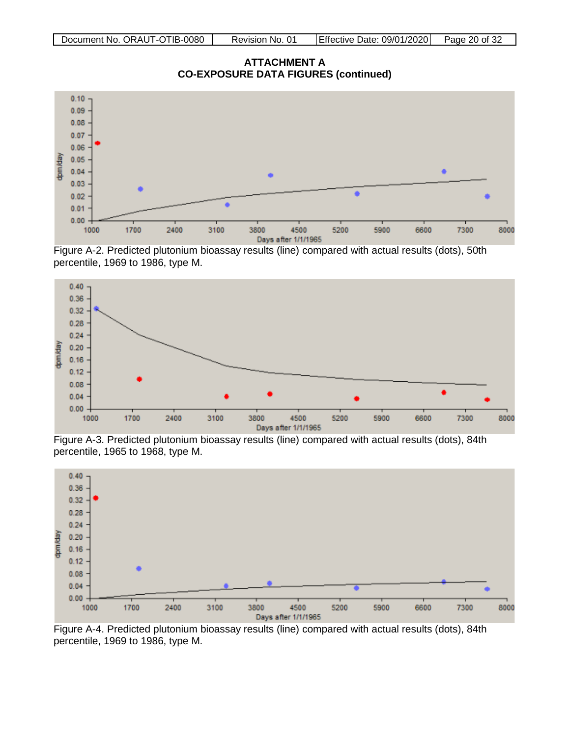**ATTACHMENT A CO-EXPOSURE DATA FIGURES (continued)**



<span id="page-19-0"></span>Figure A-2. Predicted plutonium bioassay results (line) compared with actual results (dots), 50th percentile, 1969 to 1986, type M.



<span id="page-19-1"></span>Figure A-3. Predicted plutonium bioassay results (line) compared with actual results (dots), 84th percentile, 1965 to 1968, type M.



<span id="page-19-2"></span>Figure A-4. Predicted plutonium bioassay results (line) compared with actual results (dots), 84th percentile, 1969 to 1986, type M.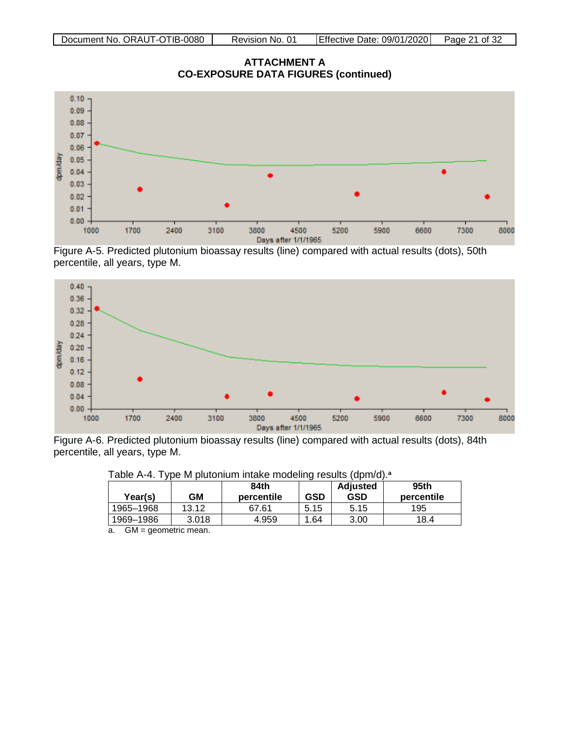**ATTACHMENT A CO-EXPOSURE DATA FIGURES (continued)**



<span id="page-20-1"></span>Figure A-5. Predicted plutonium bioassay results (line) compared with actual results (dots), 50th percentile, all years, type M.



Figure A-6. Predicted plutonium bioassay results (line) compared with actual results (dots), 84th percentile, all years, type M.

| Year(s)   | GM    | 84th<br>percentile | <b>GSD</b> | <b>Adjusted</b><br>GSD | 95th<br>percentile |
|-----------|-------|--------------------|------------|------------------------|--------------------|
| 1965-1968 | 13.12 | 67.61              | 5.15       | 5.15                   | 195                |
| 1969-1986 | 3.018 | 4.959              | .64        | 3.00                   | 18.4               |

<span id="page-20-2"></span><span id="page-20-0"></span>Table A-4. Type M plutonium intake modeling results (dpm/d).**<sup>a</sup>**

a. GM = geometric mean.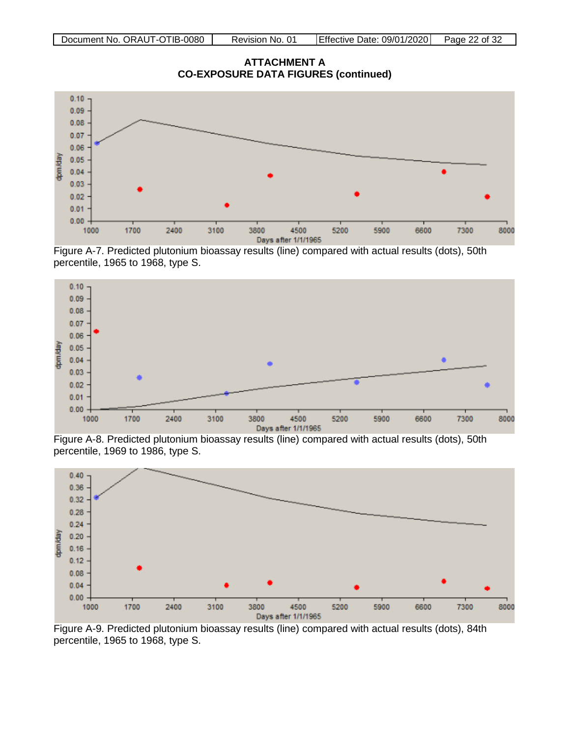**ATTACHMENT A CO-EXPOSURE DATA FIGURES (continued)**



<span id="page-21-0"></span>Figure A-7. Predicted plutonium bioassay results (line) compared with actual results (dots), 50th percentile, 1965 to 1968, type S.



<span id="page-21-1"></span>Figure A-8. Predicted plutonium bioassay results (line) compared with actual results (dots), 50th percentile, 1969 to 1986, type S.



<span id="page-21-2"></span>Figure A-9. Predicted plutonium bioassay results (line) compared with actual results (dots), 84th percentile, 1965 to 1968, type S.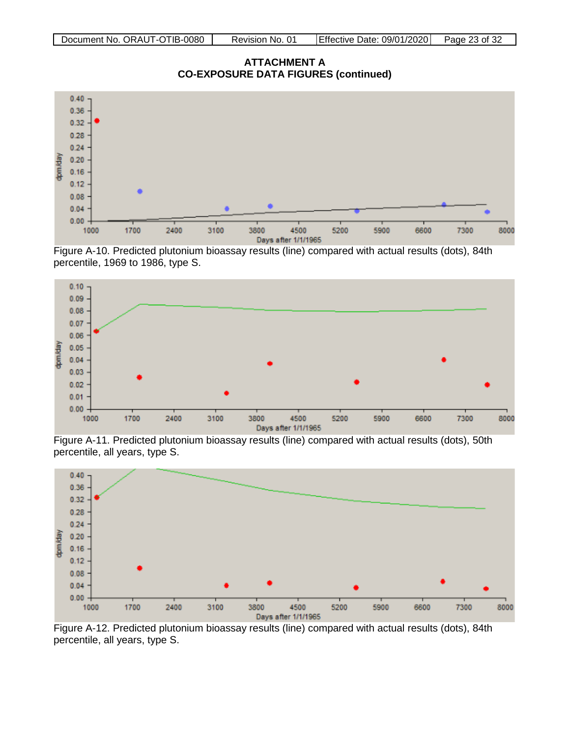**ATTACHMENT A CO-EXPOSURE DATA FIGURES (continued)**



<span id="page-22-0"></span>Figure A-10. Predicted plutonium bioassay results (line) compared with actual results (dots), 84th percentile, 1969 to 1986, type S.



<span id="page-22-1"></span>Figure A-11. Predicted plutonium bioassay results (line) compared with actual results (dots), 50th percentile, all years, type S.



<span id="page-22-2"></span>Figure A-12. Predicted plutonium bioassay results (line) compared with actual results (dots), 84th percentile, all years, type S.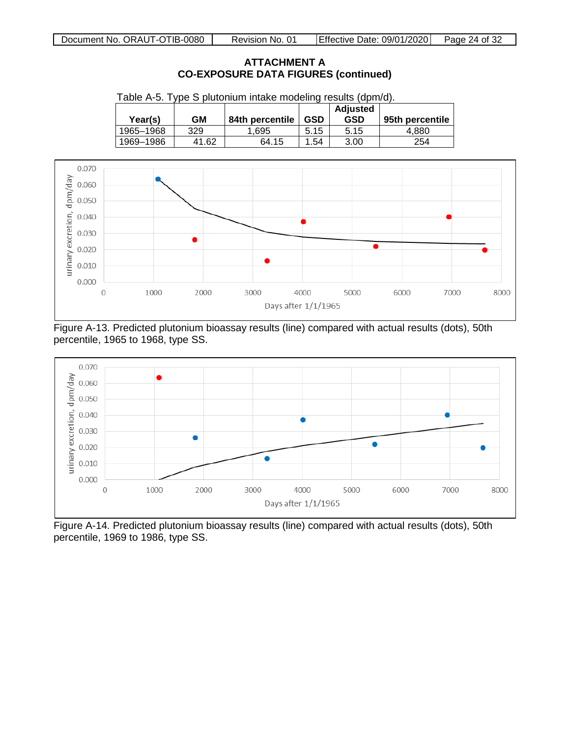| Year(s)   | GM    | 84th percentile | GSD  | <b>Adjusted</b><br><b>GSD</b> | 95th percentile |
|-----------|-------|-----------------|------|-------------------------------|-----------------|
| 1965-1968 | 329   | .695            | 5.15 | 5.15                          | 4.880           |
| 1969-1986 | 41.62 | 64.15           | .54  | 3.00                          | 254             |

<span id="page-23-0"></span>



<span id="page-23-1"></span>Figure A-13. Predicted plutonium bioassay results (line) compared with actual results (dots), 50th percentile, 1965 to 1968, type SS.



<span id="page-23-2"></span>Figure A-14. Predicted plutonium bioassay results (line) compared with actual results (dots), 50th percentile, 1969 to 1986, type SS.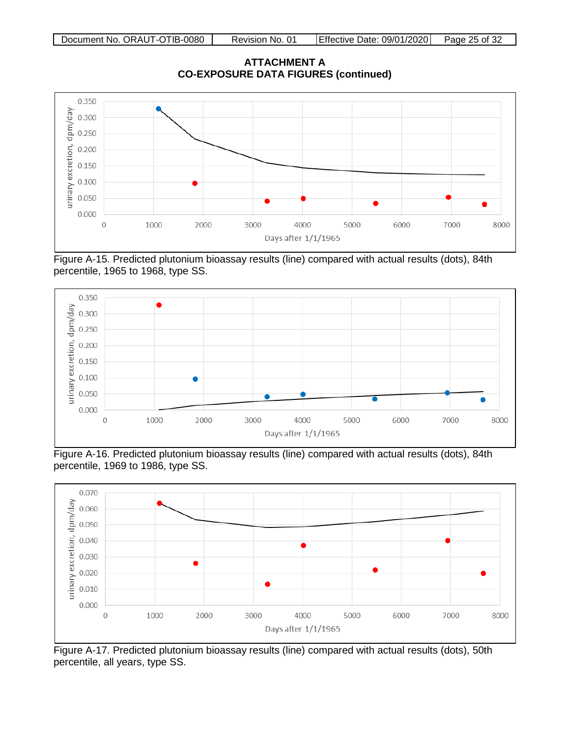**ATTACHMENT A CO-EXPOSURE DATA FIGURES (continued)**



<span id="page-24-0"></span>Figure A-15. Predicted plutonium bioassay results (line) compared with actual results (dots), 84th percentile, 1965 to 1968, type SS.



<span id="page-24-1"></span>Figure A-16. Predicted plutonium bioassay results (line) compared with actual results (dots), 84th percentile, 1969 to 1986, type SS.



<span id="page-24-2"></span>Figure A-17. Predicted plutonium bioassay results (line) compared with actual results (dots), 50th percentile, all years, type SS.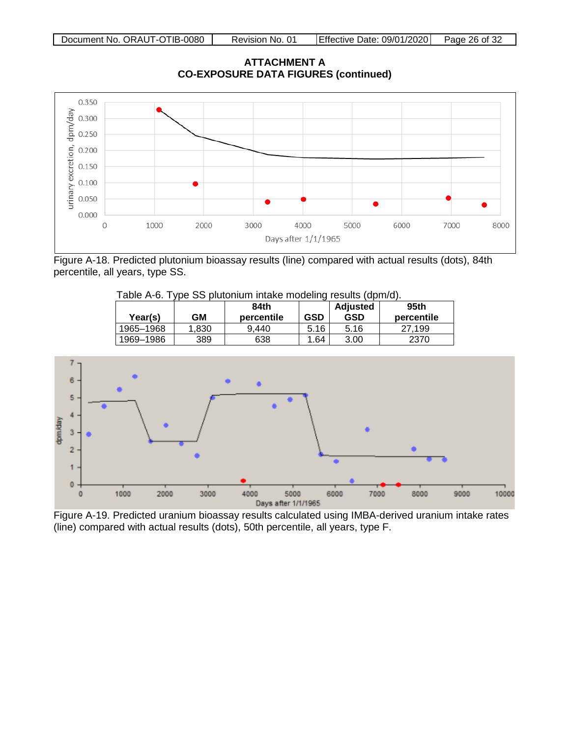**ATTACHMENT A CO-EXPOSURE DATA FIGURES (continued)**



Figure A-18. Predicted plutonium bioassay results (line) compared with actual results (dots), 84th percentile, all years, type SS.

<span id="page-25-1"></span><span id="page-25-0"></span>Table A-6. Type SS plutonium intake modeling results (dpm/d).

| Year(s)   | GM   | 84th<br>percentile | <b>GSD</b> | <b>Adjusted</b><br>GSD | 95th<br>percentile |
|-----------|------|--------------------|------------|------------------------|--------------------|
| 1965-1968 | .830 | 9.440              | 5.16       | 5.16                   | 199                |
| 1969-1986 | 389  | 638                | .64        | 3.00                   | 2370               |



<span id="page-25-2"></span>Figure A-19. Predicted uranium bioassay results calculated using IMBA-derived uranium intake rates (line) compared with actual results (dots), 50th percentile, all years, type F.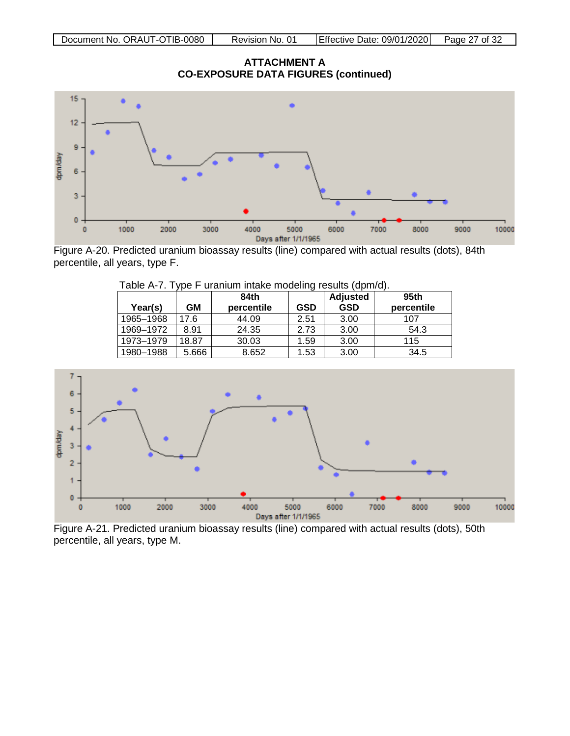**ATTACHMENT A CO-EXPOSURE DATA FIGURES (continued)**



Figure A-20. Predicted uranium bioassay results (line) compared with actual results (dots), 84th percentile, all years, type F.

| Year(s)   | GМ    | 84th<br>percentile | GSD  | <b>Adjusted</b><br><b>GSD</b> | 95th<br>percentile |
|-----------|-------|--------------------|------|-------------------------------|--------------------|
| 1965-1968 | 17.6  | 44.09              | 2.51 | 3.00                          | 107                |
| 1969-1972 | 8.91  | 24.35              | 2.73 | 3.00                          | 54.3               |
| 1973-1979 | 18.87 | 30.03              | 1.59 | 3.00                          | 115                |
| 1980-1988 | 5.666 | 8.652              | 1.53 | 3.00                          | 34.5               |

<span id="page-26-1"></span><span id="page-26-0"></span>Table A-7. Type F uranium intake modeling results (dpm/d).



<span id="page-26-2"></span>Figure A-21. Predicted uranium bioassay results (line) compared with actual results (dots), 50th percentile, all years, type M.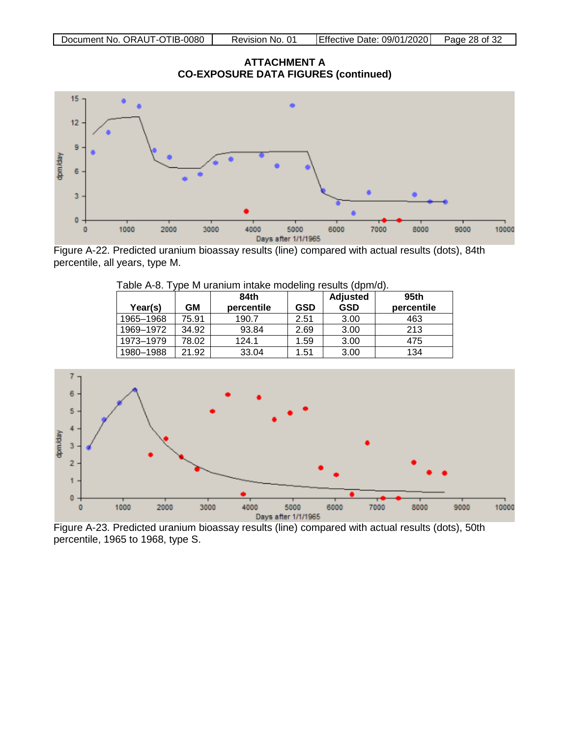**ATTACHMENT A CO-EXPOSURE DATA FIGURES (continued)**



Figure A-22. Predicted uranium bioassay results (line) compared with actual results (dots), 84th percentile, all years, type M.

<span id="page-27-0"></span>

| Year(s)   | GМ    | 84th<br>percentile | <b>GSD</b> | Adjusted<br><b>GSD</b> | 95th<br>percentile |
|-----------|-------|--------------------|------------|------------------------|--------------------|
| 1965-1968 | 75.91 | 190.7              | 2.51       | 3.00                   | 463                |
| 1969-1972 | 34.92 | 93.84              | 2.69       | 3.00                   | 213                |
| 1973-1979 | 78.02 | 124.1              | 1.59       | 3.00                   | 475                |
| 1980-1988 | 21.92 | 33.04              | 1.51       | 3.00                   | 134                |

<span id="page-27-1"></span>Table A-8. Type M uranium intake modeling results (dpm/d).



<span id="page-27-2"></span>Figure A-23. Predicted uranium bioassay results (line) compared with actual results (dots), 50th percentile, 1965 to 1968, type S.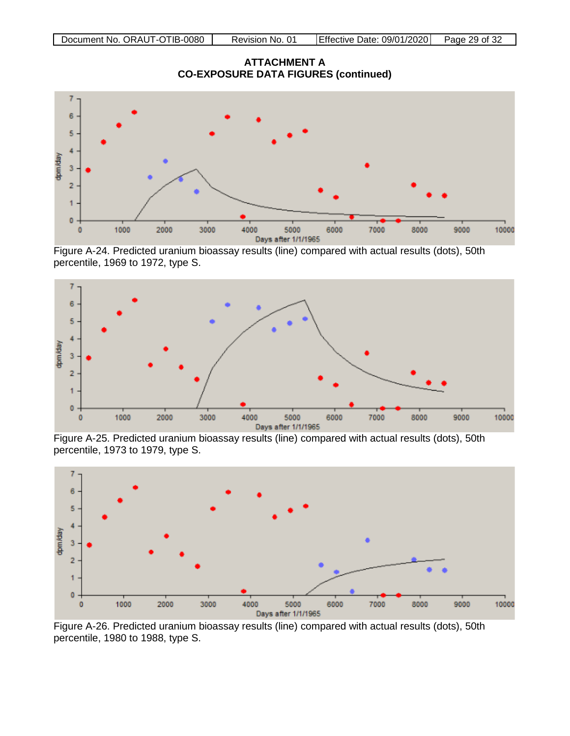**ATTACHMENT A CO-EXPOSURE DATA FIGURES (continued)**



<span id="page-28-0"></span>Figure A-24. Predicted uranium bioassay results (line) compared with actual results (dots), 50th percentile, 1969 to 1972, type S.



<span id="page-28-1"></span>Figure A-25. Predicted uranium bioassay results (line) compared with actual results (dots), 50th percentile, 1973 to 1979, type S.



<span id="page-28-2"></span>Figure A-26. Predicted uranium bioassay results (line) compared with actual results (dots), 50th percentile, 1980 to 1988, type S.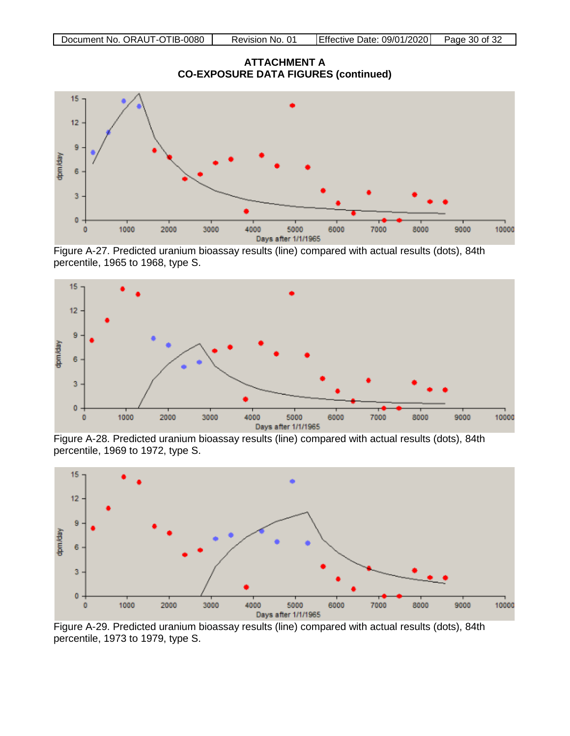**ATTACHMENT A CO-EXPOSURE DATA FIGURES (continued)**



<span id="page-29-0"></span>Figure A-27. Predicted uranium bioassay results (line) compared with actual results (dots), 84th percentile, 1965 to 1968, type S.



<span id="page-29-1"></span>Figure A-28. Predicted uranium bioassay results (line) compared with actual results (dots), 84th percentile, 1969 to 1972, type S.



<span id="page-29-2"></span>Figure A-29. Predicted uranium bioassay results (line) compared with actual results (dots), 84th percentile, 1973 to 1979, type S.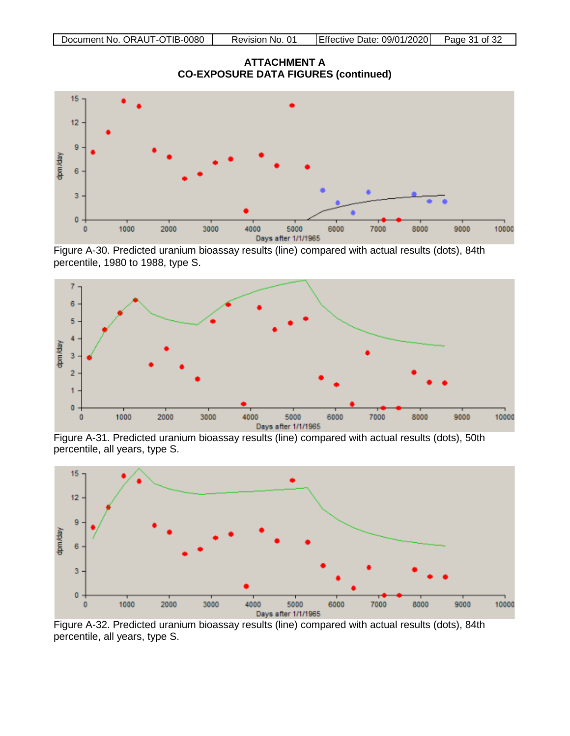**ATTACHMENT A CO-EXPOSURE DATA FIGURES (continued)**



<span id="page-30-0"></span>Figure A-30. Predicted uranium bioassay results (line) compared with actual results (dots), 84th percentile, 1980 to 1988, type S.



<span id="page-30-1"></span>Figure A-31. Predicted uranium bioassay results (line) compared with actual results (dots), 50th percentile, all years, type S.



<span id="page-30-2"></span>Figure A-32. Predicted uranium bioassay results (line) compared with actual results (dots), 84th percentile, all years, type S.